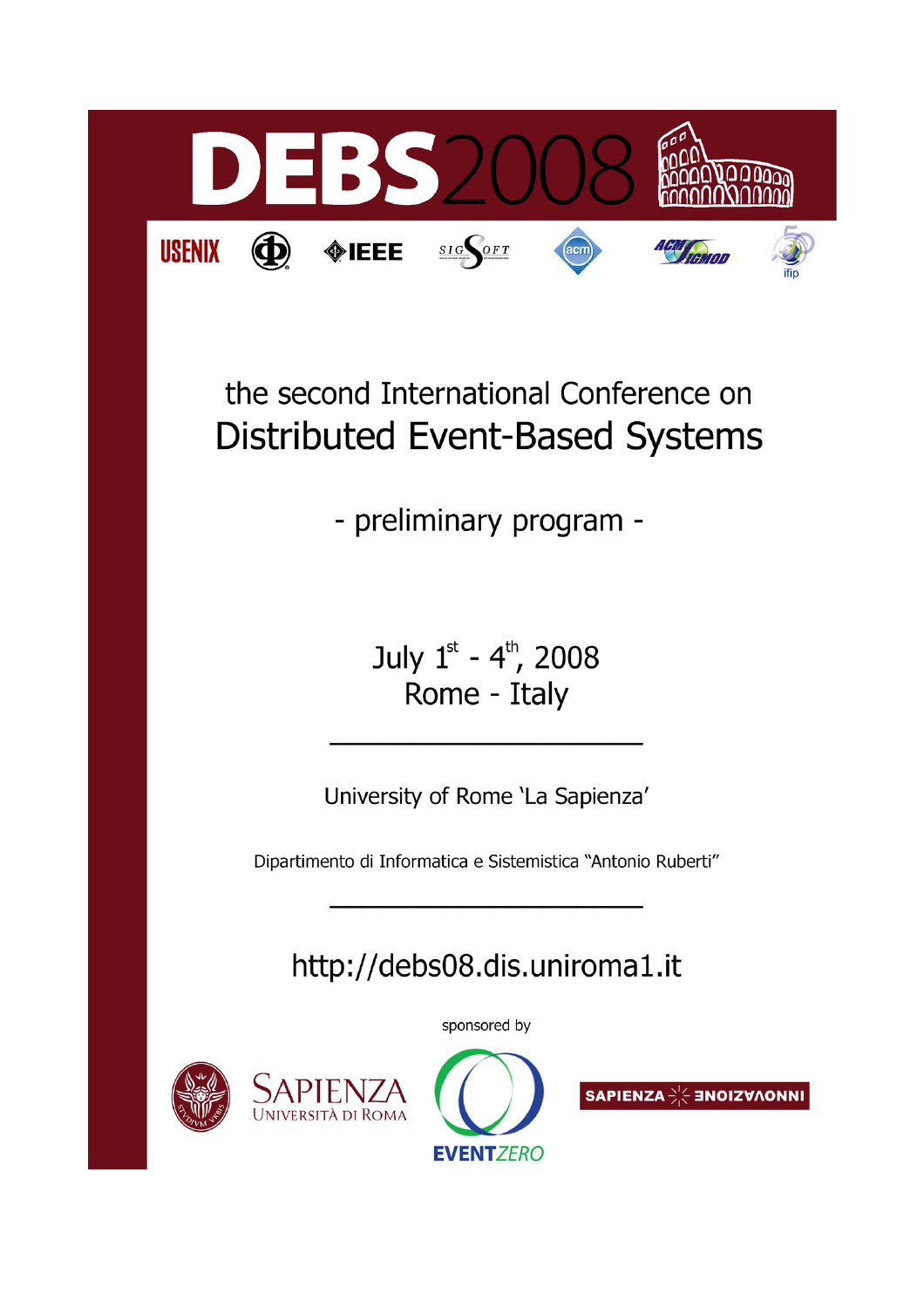

# the second International Conference on **Distributed Event-Based Systems**

- preliminary program -

July 1st - 4th, 2008 Rome - Italy

University of Rome 'La Sapienza'

Dipartimento di Informatica e Sistemistica "Antonio Ruberti"

http://debs08.dis.uniroma1.it

sponsored by





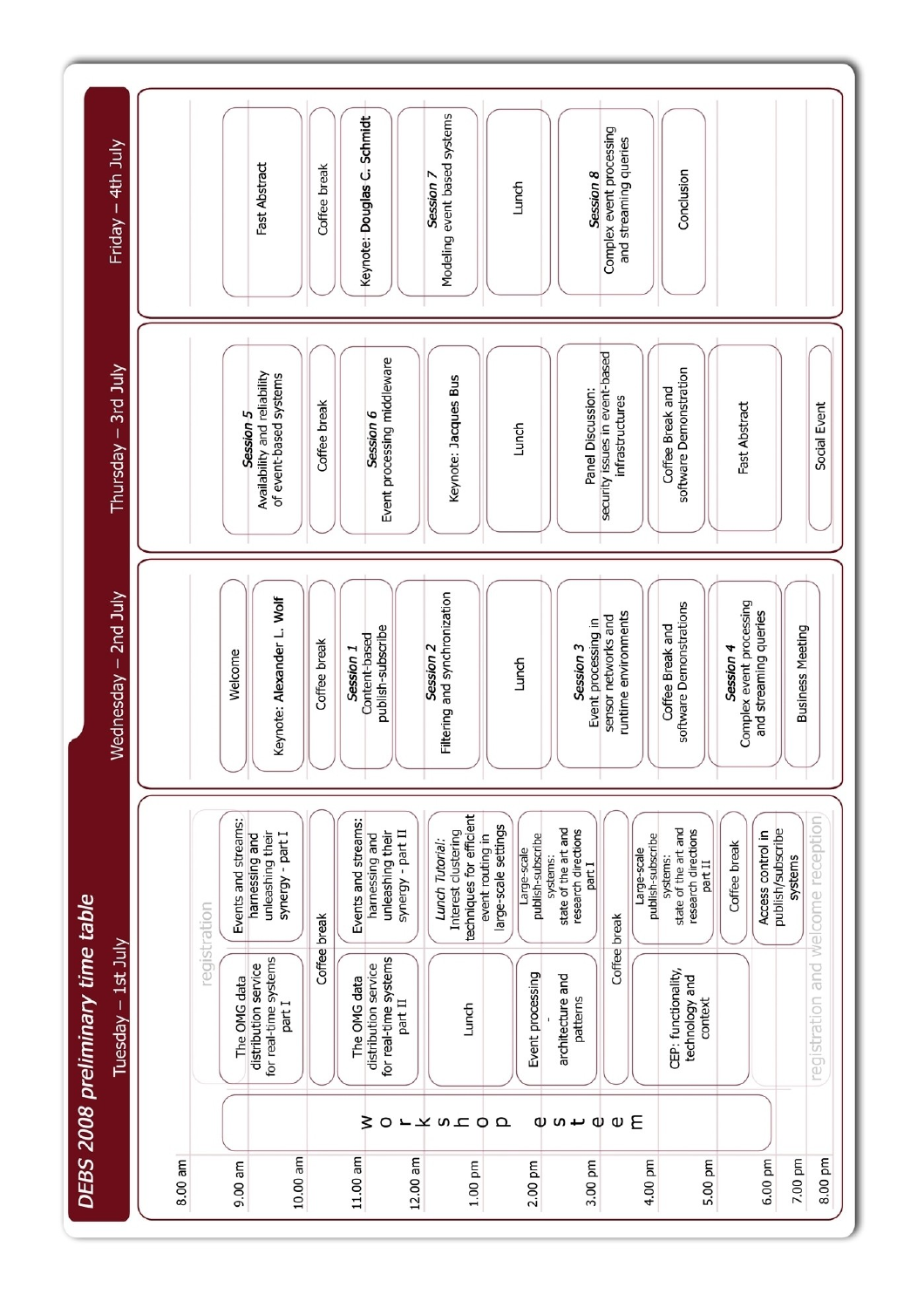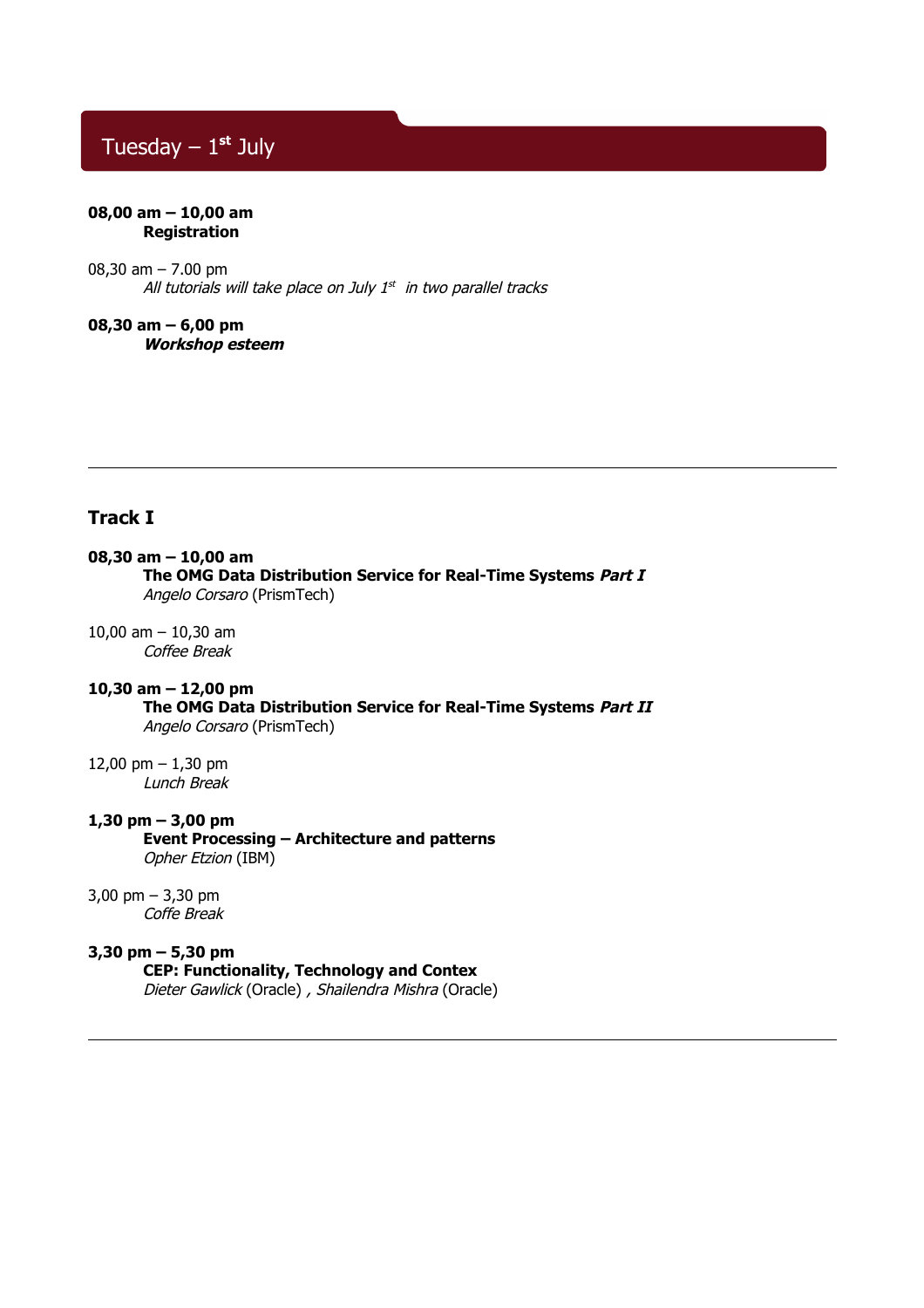# Tuesday – 1**st** July

### **08,00 am – 10,00 am Registration**

08,30 am – 7.00 pm All tutorials will take place on July 1st in two parallel tracks

**08,30 am – 6,00 pm Workshop esteem**

# **Track I**

### **08,30 am – 10,00 am**

**The OMG Data Distribution Service for Real-Time Systems Part I**  Angelo Corsaro (PrismTech)

10,00 am – 10,30 am Coffee Break

# **10,30 am – 12,00 pm**

**The OMG Data Distribution Service for Real-Time Systems Part II** Angelo Corsaro (PrismTech)

12,00 pm – 1,30 pm Lunch Break

# **1,30 pm – 3,00 pm**

**Event Processing – Architecture and patterns** Opher Etzion (IBM)

### 3,00 pm – 3,30 pm

Coffe Break

# **3,30 pm – 5,30 pm**

**CEP: Functionality, Technology and Contex**

Dieter Gawlick (Oracle) , Shailendra Mishra (Oracle)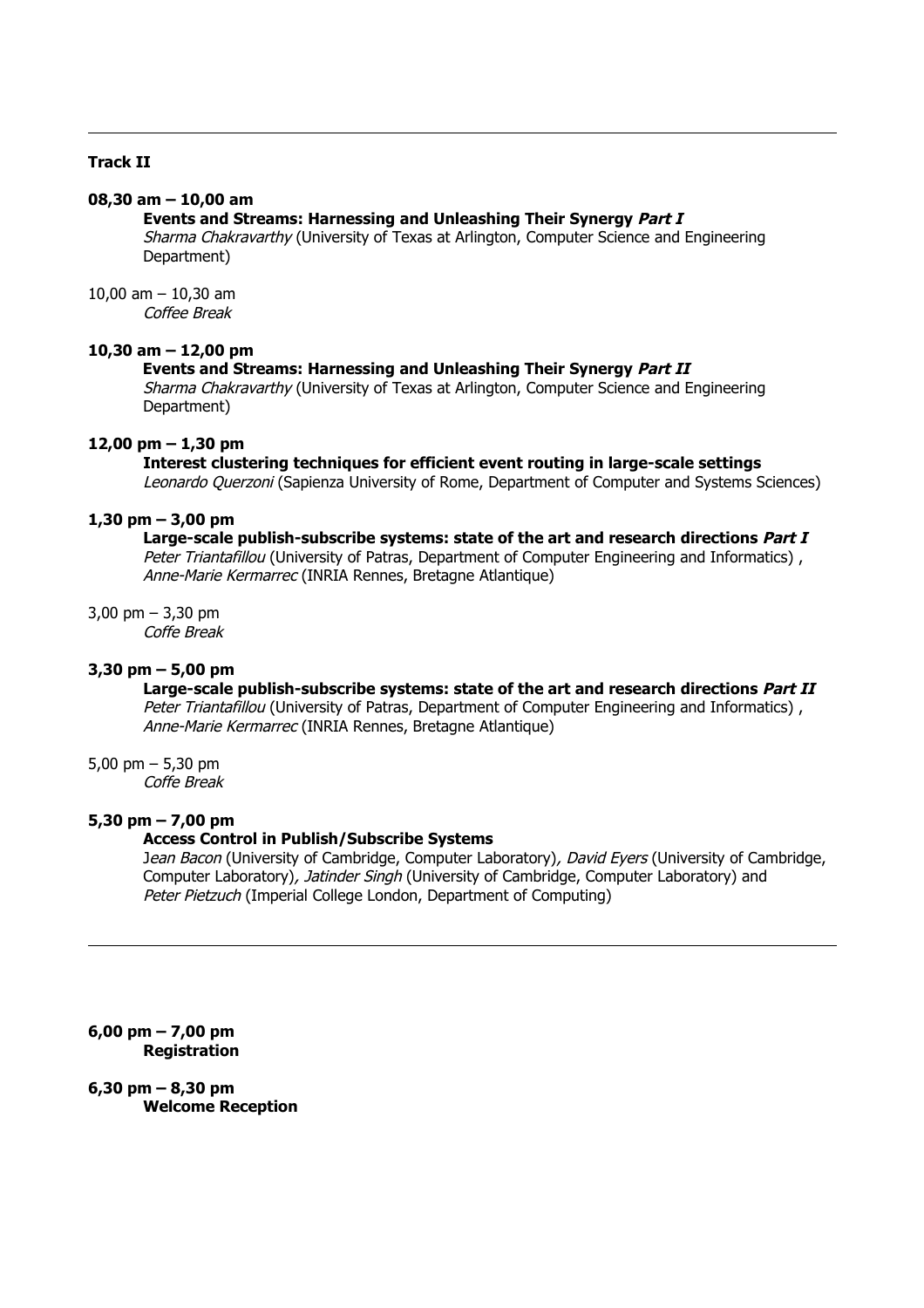# **Track II**

# **08,30 am – 10,00 am**

# **Events and Streams: Harnessing and Unleashing Their Synergy Part I**

Sharma Chakravarthy (University of Texas at Arlington, Computer Science and Engineering Department)

10,00 am  $-$  10,30 am Coffee Break

## **10,30 am – 12,00 pm**

## **Events and Streams: Harnessing and Unleashing Their Synergy Part II**

Sharma Chakravarthy (University of Texas at Arlington, Computer Science and Engineering Department)

### **12,00 pm – 1,30 pm**

### **Interest clustering techniques for efficient event routing in large-scale settings**

Leonardo Querzoni (Sapienza University of Rome, Department of Computer and Systems Sciences)

# **1,30 pm – 3,00 pm**

# **Large-scale publish-subscribe systems: state of the art and research directions Part I**

Peter Triantafillou (University of Patras, Department of Computer Engineering and Informatics), Anne-Marie Kermarrec (INRIA Rennes, Bretagne Atlantique)

3,00 pm – 3,30 pm

Coffe Break

# **3,30 pm – 5,00 pm**

# **Large-scale publish-subscribe systems: state of the art and research directions Part II**

Peter Triantafillou (University of Patras, Department of Computer Engineering and Informatics), Anne-Marie Kermarrec (INRIA Rennes, Bretagne Atlantique)

5,00 pm – 5,30 pm

Coffe Break

# **5,30 pm – 7,00 pm**

# **Access Control in Publish/Subscribe Systems**

Jean Bacon (University of Cambridge, Computer Laboratory), David Eyers (University of Cambridge, Computer Laboratory), *Jatinder Singh* (University of Cambridge, Computer Laboratory) and Peter Pietzuch (Imperial College London, Department of Computing)

**6,00 pm – 7,00 pm Registration**

# **6,30 pm – 8,30 pm**

**Welcome Reception**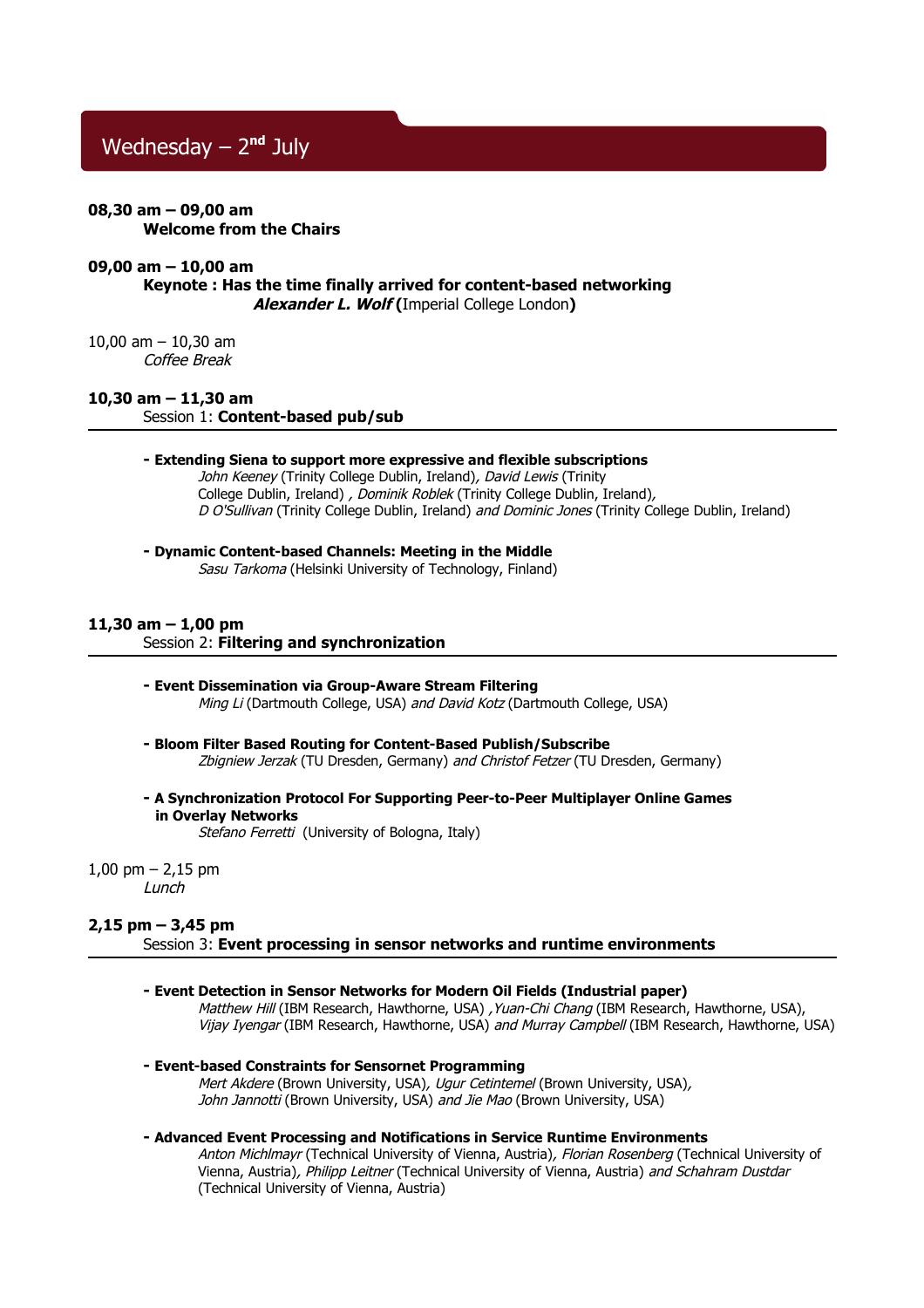# Wednesday – 2**nd** July

### **08,30 am – 09,00 am Welcome from the Chairs**

### **09,00 am – 10,00 am**

**Keynote : Has the time finally arrived for content-based networking Alexander L. Wolf (**Imperial College London**)**

### 10,00 am – 10,30 am Coffee Break

## **10,30 am – 11,30 am**

Session 1: **Content-based pub/sub**

### **- Extending Siena to support more expressive and flexible subscriptions**

John Keeney (Trinity College Dublin, Ireland), David Lewis (Trinity College Dublin, Ireland) , Dominik Roblek (Trinity College Dublin, Ireland), D O'Sullivan (Trinity College Dublin, Ireland) and Dominic Jones (Trinity College Dublin, Ireland)

### **- Dynamic Content-based Channels: Meeting in the Middle**

Sasu Tarkoma (Helsinki University of Technology, Finland)

### **11,30 am – 1,00 pm**

### Session 2: **Filtering and synchronization**

### **- Event Dissemination via Group-Aware Stream Filtering** Ming Li (Dartmouth College, USA) and David Kotz (Dartmouth College, USA)

- **Bloom Filter Based Routing for Content-Based Publish/Subscribe** Zbigniew Jerzak (TU Dresden, Germany) and Christof Fetzer (TU Dresden, Germany)
- **A Synchronization Protocol For Supporting Peer-to-Peer Multiplayer Online Games in Overlay Networks**

Stefano Ferretti (University of Bologna, Italy)

1,00 pm  $- 2,15$  pm Lunch

### **2,15 pm – 3,45 pm**

Session 3: **Event processing in sensor networks and runtime environments**

**- Event Detection in Sensor Networks for Modern Oil Fields (Industrial paper)**

Matthew Hill (IBM Research, Hawthorne, USA) , Yuan-Chi Chang (IBM Research, Hawthorne, USA). Vijay Iyengar (IBM Research, Hawthorne, USA) and Murray Campbell (IBM Research, Hawthorne, USA)

**- Event-based Constraints for Sensornet Programming**

Mert Akdere (Brown University, USA), Ugur Cetintemel (Brown University, USA), John Jannotti (Brown University, USA) and Jie Mao (Brown University, USA)

### **- Advanced Event Processing and Notifications in Service Runtime Environments**

Anton Michlmayr (Technical University of Vienna, Austria), Florian Rosenberg (Technical University of Vienna, Austria), Philipp Leitner (Technical University of Vienna, Austria) and Schahram Dustdar (Technical University of Vienna, Austria)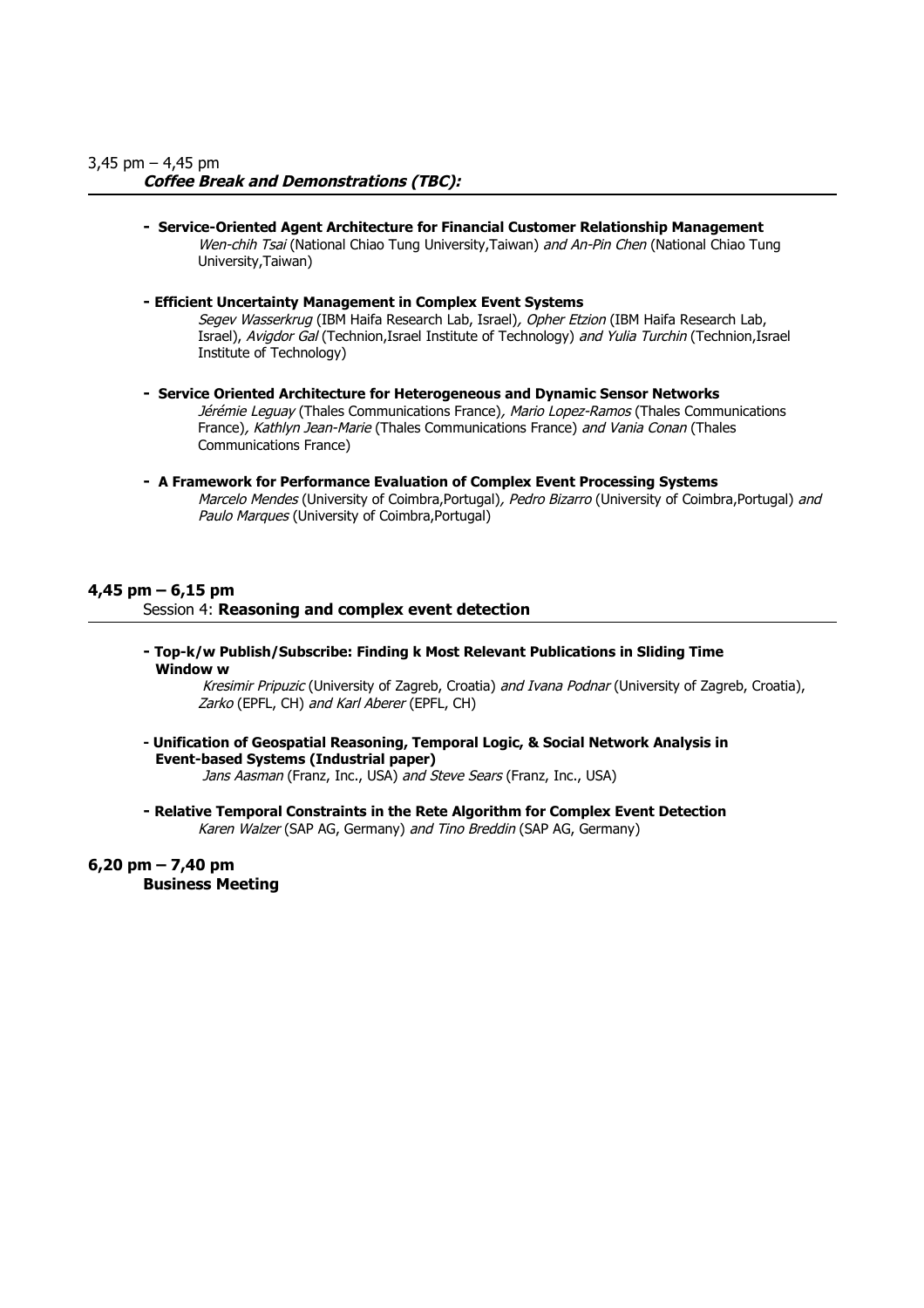## **Coffee Break and Demonstrations (TBC):**

- **Service-Oriented Agent Architecture for Financial Customer Relationship Management** Wen-chih Tsai (National Chiao Tung University,Taiwan) and An-Pin Chen (National Chiao Tung University,Taiwan)
- **Efficient Uncertainty Management in Complex Event Systems** Segev Wasserkrug (IBM Haifa Research Lab, Israel), Opher Etzion (IBM Haifa Research Lab, Israel), Avigdor Gal (Technion,Israel Institute of Technology) and Yulia Turchin (Technion,Israel Institute of Technology)
- **Service Oriented Architecture for Heterogeneous and Dynamic Sensor Networks** Jérémie Leguay (Thales Communications France), Mario Lopez-Ramos (Thales Communications France), Kathlyn Jean-Marie (Thales Communications France) and Vania Conan (Thales Communications France)
- **A Framework for Performance Evaluation of Complex Event Processing Systems** Marcelo Mendes (University of Coimbra, Portugal), Pedro Bizarro (University of Coimbra, Portugal) and Paulo Marques (University of Coimbra,Portugal)

## **4,45 pm – 6,15 pm**

Session 4: **Reasoning and complex event detection**

**- Top-k/w Publish/Subscribe: Finding k Most Relevant Publications in Sliding Time Window w**

Kresimir Pripuzic (University of Zagreb, Croatia) and Ivana Podnar (University of Zagreb, Croatia), Zarko (EPFL, CH) and Karl Aberer (EPFL, CH)

**- Unification of Geospatial Reasoning, Temporal Logic, & Social Network Analysis in Event-based Systems (Industrial paper)** Jans Aasman (Franz, Inc., USA) and Steve Sears (Franz, Inc., USA)

**- Relative Temporal Constraints in the Rete Algorithm for Complex Event Detection** Karen Walzer (SAP AG, Germany) and Tino Breddin (SAP AG, Germany)

**6,20 pm – 7,40 pm Business Meeting**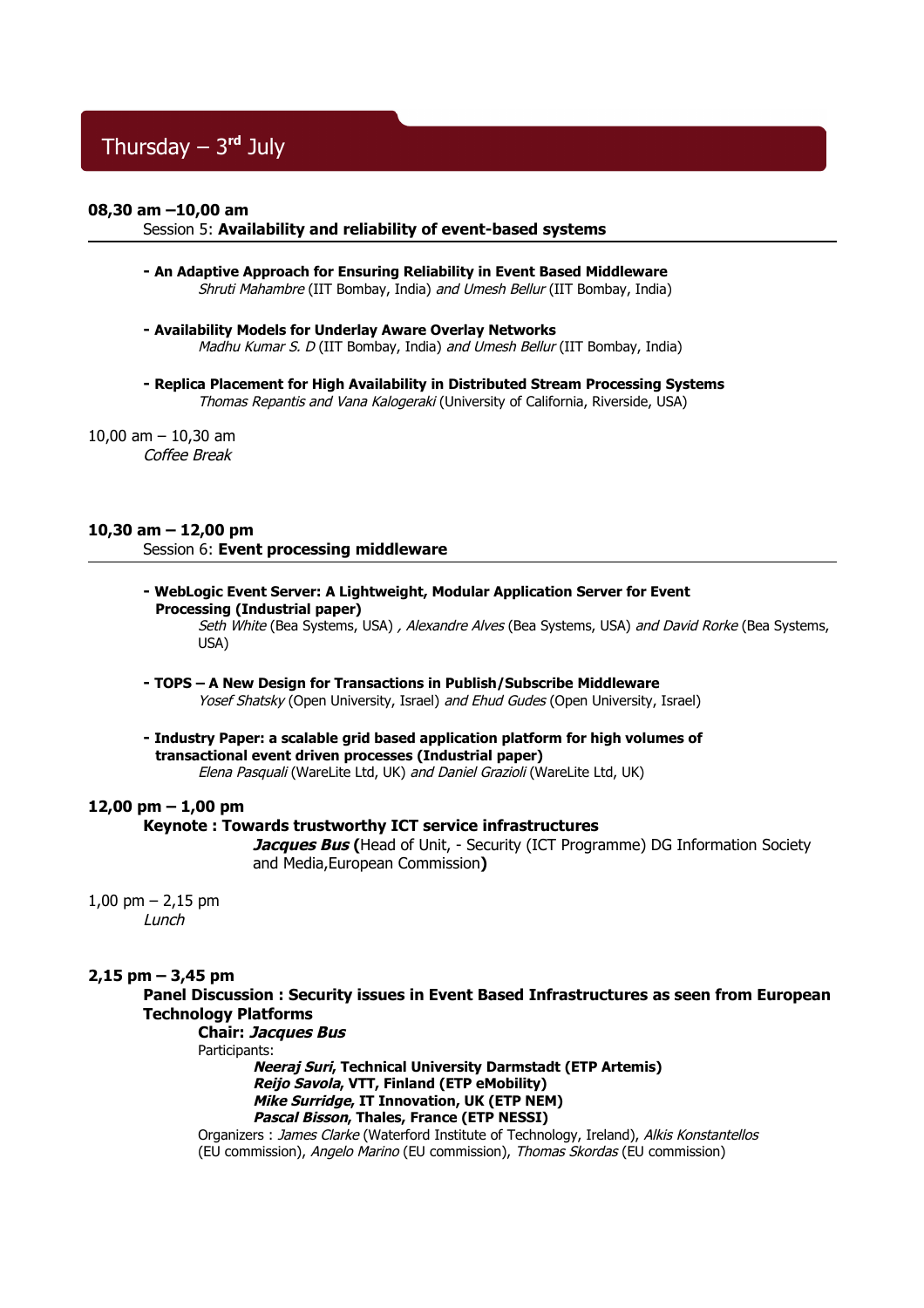# Thursday – 3**rd** July

### **08,30 am –10,00 am**

### Session 5: **Availability and reliability of event-based systems**

- **An Adaptive Approach for Ensuring Reliability in Event Based Middleware** Shruti Mahambre (IIT Bombay, India) and Umesh Bellur (IIT Bombay, India)
- **Availability Models for Underlay Aware Overlay Networks** Madhu Kumar S. D (IIT Bombay, India) and Umesh Bellur (IIT Bombay, India)
- **Replica Placement for High Availability in Distributed Stream Processing Systems** Thomas Repantis and Vana Kalogeraki (University of California, Riverside, USA)

# 10,00 am – 10,30 am

Coffee Break

### **10,30 am – 12,00 pm** Session 6: **Event processing middleware**

**- WebLogic Event Server: A Lightweight, Modular Application Server for Event Processing (Industrial paper)**

Seth White (Bea Systems, USA), Alexandre Alves (Bea Systems, USA) and David Rorke (Bea Systems, USA)

**- TOPS – A New Design for Transactions in Publish/Subscribe Middleware**

Yosef Shatsky (Open University, Israel) and Ehud Gudes (Open University, Israel)

**- Industry Paper: a scalable grid based application platform for high volumes of transactional event driven processes (Industrial paper)** Elena Pasquali (WareLite Ltd, UK) and Daniel Grazioli (WareLite Ltd, UK)

### **12,00 pm – 1,00 pm**

### **Keynote : Towards trustworthy ICT service infrastructures**

**Jacques Bus (**Head of Unit, - Security (ICT Programme) DG Information Society and Media,European Commission**)**

1,00 pm  $- 2.15$  pm Lunch

### **2,15 pm – 3,45 pm**

**Panel Discussion : Security issues in Event Based Infrastructures as seen from European Technology Platforms**

**Chair: Jacques Bus**  Participants:

> **Neeraj Suri, Technical University Darmstadt (ETP Artemis) Reijo Savola, VTT, Finland (ETP eMobility) Mike Surridge, IT Innovation, UK (ETP NEM) Pascal Bisson, Thales, France (ETP NESSI)**

Organizers : James Clarke (Waterford Institute of Technology, Ireland), Alkis Konstantellos (EU commission), Angelo Marino (EU commission), Thomas Skordas (EU commission)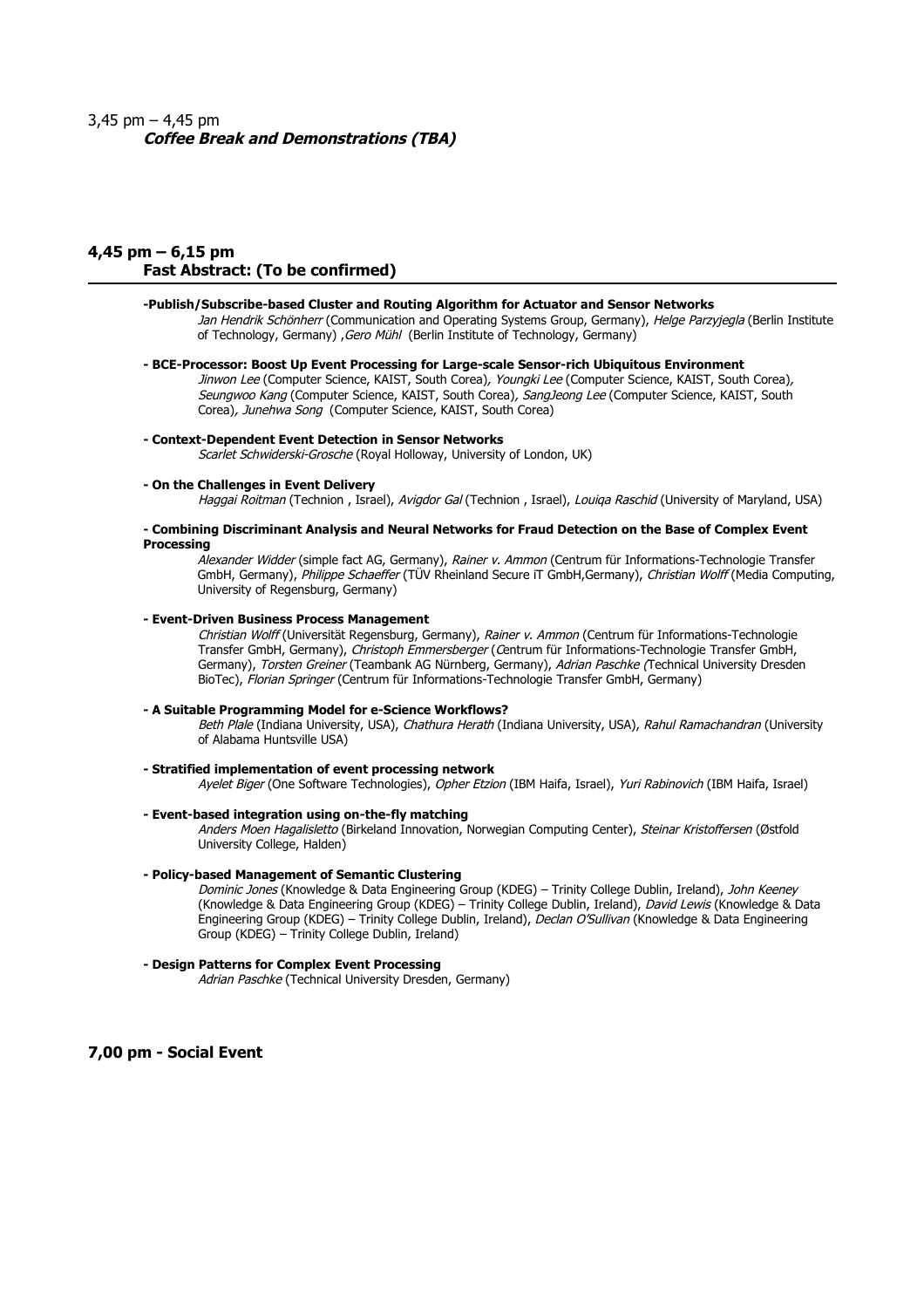## 3,45 pm – 4,45 pm **Coffee Break and Demonstrations (TBA)**

### **4,45 pm – 6,15 pm Fast Abstract: (To be confirmed)**

### **-Publish/Subscribe-based Cluster and Routing Algorithm for Actuator and Sensor Networks**

Jan Hendrik Schönherr (Communication and Operating Systems Group, Germany), Helge Parzyjegla (Berlin Institute of Technology, Germany) *,Gero Mühl* (Berlin Institute of Technology, Germany)

### **- BCE-Processor: Boost Up Event Processing for Large-scale Sensor-rich Ubiquitous Environment**

Jinwon Lee (Computer Science, KAIST, South Corea), Youngki Lee (Computer Science, KAIST, South Corea), Seungwoo Kang (Computer Science, KAIST, South Corea), SangJeong Lee (Computer Science, KAIST, South Corea), Junehwa Song (Computer Science, KAIST, South Corea)

### **- Context-Dependent Event Detection in Sensor Networks**

Scarlet Schwiderski-Grosche (Royal Holloway, University of London, UK)

#### **- On the Challenges in Event Delivery**

Haggai Roitman (Technion, Israel), Avigdor Gal (Technion, Israel), Louiga Raschid (University of Maryland, USA)

#### **- Combining Discriminant Analysis and Neural Networks for Fraud Detection on the Base of Complex Event Processing**

Alexander Widder (simple fact AG, Germany), Rainer v. Ammon (Centrum für Informations-Technologie Transfer GmbH, Germany), Philippe Schaeffer (TÜV Rheinland Secure iT GmbH,Germany), Christian Wolff (Media Computing, University of Regensburg, Germany)

#### **- Event-Driven Business Process Management**

Christian Wolff (Universität Regensburg, Germany), Rainer v. Ammon (Centrum für Informations-Technologie Transfer GmbH, Germany), Christoph Emmersberger (Centrum für Informations-Technologie Transfer GmbH, Germany), Torsten Greiner (Teambank AG Nürnberg, Germany), Adrian Paschke (Technical University Dresden BioTec), Florian Springer (Centrum für Informations-Technologie Transfer GmbH, Germany)

#### **- A Suitable Programming Model for e-Science Workflows?**

Beth Plale (Indiana University, USA), Chathura Herath (Indiana University, USA), Rahul Ramachandran (University of Alabama Huntsville USA)

#### **- Stratified implementation of event processing network**

Ayelet Biger (One Software Technologies), Opher Etzion (IBM Haifa, Israel), Yuri Rabinovich (IBM Haifa, Israel)

### **- Event-based integration using on-the-fly matching**

Anders Moen Hagalisletto (Birkeland Innovation, Norwegian Computing Center), Steinar Kristoffersen (Østfold University College, Halden)

### **- Policy-based Management of Semantic Clustering**

Dominic Jones (Knowledge & Data Engineering Group (KDEG) – Trinity College Dublin, Ireland), John Keeney (Knowledge & Data Engineering Group (KDEG) – Trinity College Dublin, Ireland), David Lewis (Knowledge & Data Engineering Group (KDEG) – Trinity College Dublin, Ireland), Declan O'Sullivan (Knowledge & Data Engineering Group (KDEG) – Trinity College Dublin, Ireland)

### **- Design Patterns for Complex Event Processing**

Adrian Paschke (Technical University Dresden, Germany)

**7,00 pm - Social Event**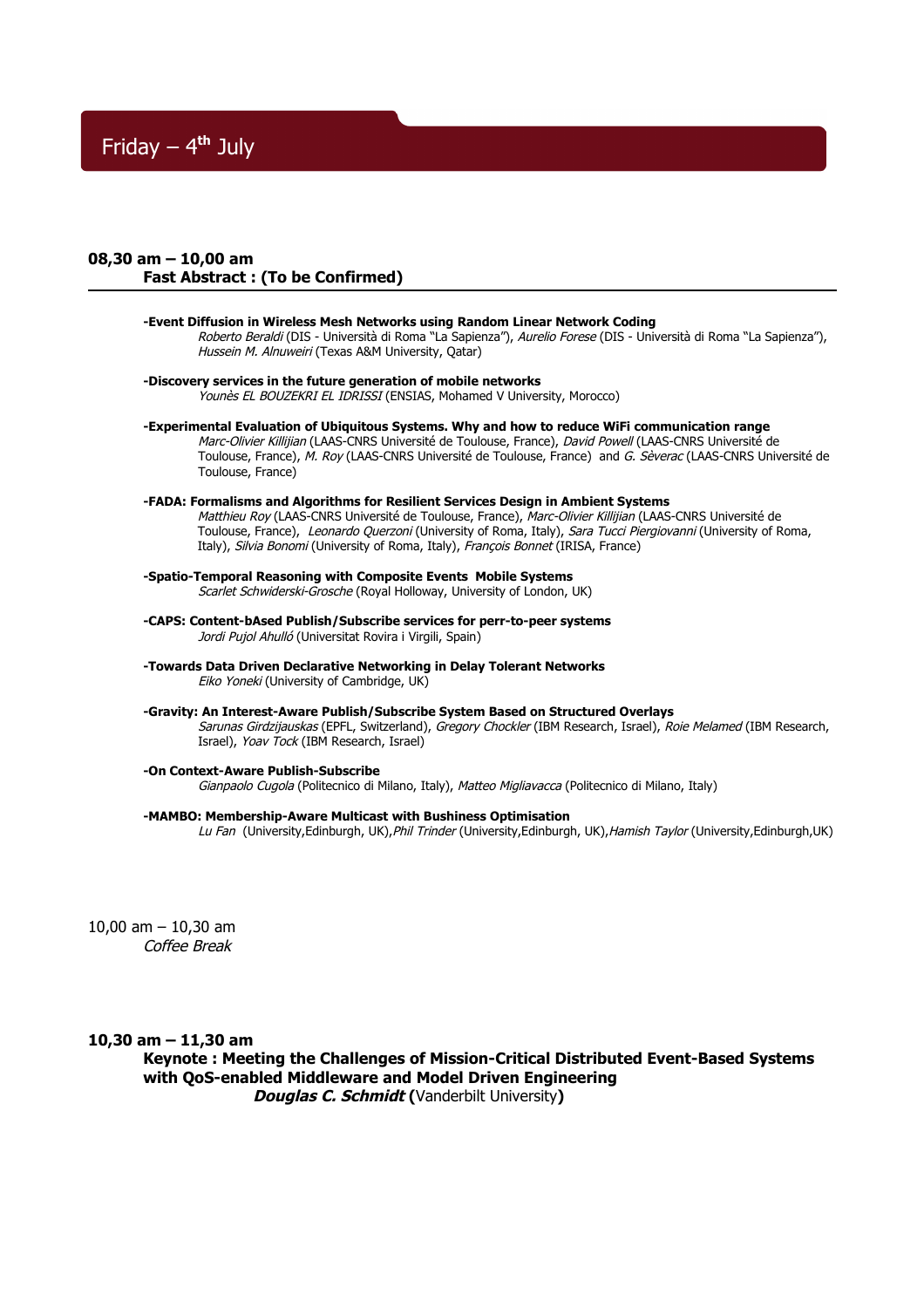# Friday – 4**th** July

### **08,30 am – 10,00 am Fast Abstract : (To be Confirmed)**

**-Event Diffusion in Wireless Mesh Networks using Random Linear Network Coding** Roberto Beraldi (DIS - Università di Roma "La Sapienza"), Aurelio Forese (DIS - Università di Roma "La Sapienza"), Hussein M. Alnuweiri (Texas A&M University, Qatar)

**-Discovery services in the future generation of mobile networks** Younès EL BOUZEKRI EL IDRISSI (ENSIAS, Mohamed V University, Morocco)

**-Experimental Evaluation of Ubiquitous Systems. Why and how to reduce WiFi communication range**  Marc-Olivier Killijian (LAAS-CNRS Université de Toulouse, France), David Powell (LAAS-CNRS Université de Toulouse, France), M. Roy (LAAS-CNRS Université de Toulouse, France) and G. Sèverac (LAAS-CNRS Université de Toulouse, France)

#### **-FADA: Formalisms and Algorithms for Resilient Services Design in Ambient Systems** Matthieu Roy (LAAS-CNRS Université de Toulouse, France), Marc-Olivier Killijian (LAAS-CNRS Université de Toulouse, France), Leonardo Querzoni (University of Roma, Italy), Sara Tucci Piergiovanni (University of Roma, Italy), Silvia Bonomi (University of Roma, Italy), François Bonnet (IRISA, France)

**-Spatio-Temporal Reasoning with Composite Events Mobile Systems** Scarlet Schwiderski-Grosche (Royal Holloway, University of London, UK)

- **-CAPS: Content-bAsed Publish/Subscribe services for perr-to-peer systems** Jordi Pujol Ahulló (Universitat Rovira i Virgili, Spain)
- **-Towards Data Driven Declarative Networking in Delay Tolerant Networks** Eiko Yoneki (University of Cambridge, UK)
- **-Gravity: An Interest-Aware Publish/Subscribe System Based on Structured Overlays** Sarunas Girdzijauskas (EPFL, Switzerland), Gregory Chockler (IBM Research, Israel), Roie Melamed (IBM Research, Israel), Yoav Tock (IBM Research, Israel)

### **-On Context-Aware Publish-Subscribe**

Gianpaolo Cugola (Politecnico di Milano, Italy), Matteo Migliavacca (Politecnico di Milano, Italy)

### **-MAMBO: Membership-Aware Multicast with Bushiness Optimisation**

Lu Fan (University,Edinburgh, UK), Phil Trinder (University,Edinburgh, UK), Hamish Taylor (University,Edinburgh,UK)

10,00 am – 10,30 am Coffee Break

**10,30 am – 11,30 am**

**Keynote : Meeting the Challenges of Mission-Critical Distributed Event-Based Systems with QoS-enabled Middleware and Model Driven Engineering Douglas C. Schmidt (**Vanderbilt University**)**